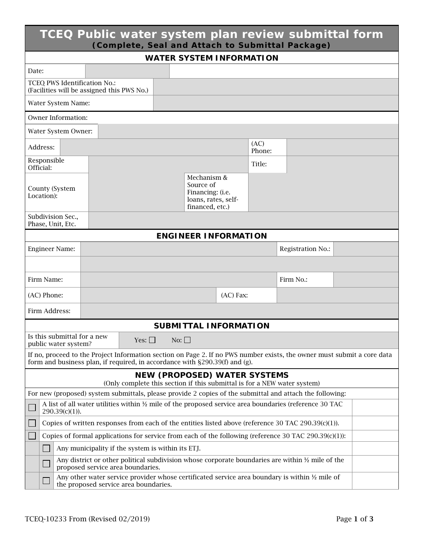| TCEQ Public water system plan review submittal form<br>(Complete, Seal and Attach to Submittal Package)                                                                                                    |                                                                                        |                             |             |                |                   |  |  |
|------------------------------------------------------------------------------------------------------------------------------------------------------------------------------------------------------------|----------------------------------------------------------------------------------------|-----------------------------|-------------|----------------|-------------------|--|--|
| <b>WATER SYSTEM INFORMATION</b>                                                                                                                                                                            |                                                                                        |                             |             |                |                   |  |  |
| Date:                                                                                                                                                                                                      |                                                                                        |                             |             |                |                   |  |  |
| TCEQ PWS Identification No.:                                                                                                                                                                               | (Facilities will be assigned this PWS No.)                                             |                             |             |                |                   |  |  |
| Water System Name:                                                                                                                                                                                         |                                                                                        |                             |             |                |                   |  |  |
| Owner Information:                                                                                                                                                                                         |                                                                                        |                             |             |                |                   |  |  |
| Water System Owner:                                                                                                                                                                                        |                                                                                        |                             |             |                |                   |  |  |
| Address:                                                                                                                                                                                                   |                                                                                        |                             |             | (AC)<br>Phone: |                   |  |  |
| Responsible<br>Official:                                                                                                                                                                                   |                                                                                        |                             |             | Title:         |                   |  |  |
| <b>County (System</b><br>Location):                                                                                                                                                                        | Mechanism &<br>Source of<br>Financing: (i.e.<br>loans, rates, self-<br>financed, etc.) |                             |             |                |                   |  |  |
| Subdivision Sec.,<br>Phase, Unit, Etc.                                                                                                                                                                     |                                                                                        |                             |             |                |                   |  |  |
|                                                                                                                                                                                                            |                                                                                        | <b>ENGINEER INFORMATION</b> |             |                |                   |  |  |
| <b>Engineer Name:</b>                                                                                                                                                                                      |                                                                                        |                             |             |                | Registration No.: |  |  |
|                                                                                                                                                                                                            |                                                                                        |                             |             |                |                   |  |  |
| Firm Name:                                                                                                                                                                                                 |                                                                                        |                             |             |                | Firm No.:         |  |  |
| (AC) Phone:                                                                                                                                                                                                |                                                                                        |                             | $(AC)$ Fax: |                |                   |  |  |
| Firm Address:                                                                                                                                                                                              |                                                                                        |                             |             |                |                   |  |  |
| <b>SUBMITTAL INFORMATION</b>                                                                                                                                                                               |                                                                                        |                             |             |                |                   |  |  |
| Is this submittal for a new<br>public water system?                                                                                                                                                        | Yes: $\square$                                                                         | No: $\square$               |             |                |                   |  |  |
| If no, proceed to the Project Information section on Page 2. If no PWS number exists, the owner must submit a core data<br>form and business plan, if required, in accordance with $\S 290.39(f)$ and (g). |                                                                                        |                             |             |                |                   |  |  |
| <b>NEW (PROPOSED) WATER SYSTEMS</b><br>(Only complete this section if this submittal is for a NEW water system)                                                                                            |                                                                                        |                             |             |                |                   |  |  |
| For new (proposed) system submittals, please provide 2 copies of the submittal and attach the following:                                                                                                   |                                                                                        |                             |             |                |                   |  |  |
| A list of all water utilities within $\frac{1}{2}$ mile of the proposed service area boundaries (reference 30 TAC<br>$290.39(c)(1)$ ).                                                                     |                                                                                        |                             |             |                |                   |  |  |
| Copies of written responses from each of the entities listed above (reference 30 TAC 290.39 $(c)(1)$ ).                                                                                                    |                                                                                        |                             |             |                |                   |  |  |
| Copies of formal applications for service from each of the following (reference 30 TAC $290.39(c)(1)$ ):                                                                                                   |                                                                                        |                             |             |                |                   |  |  |
| Any municipality if the system is within its ETJ.                                                                                                                                                          |                                                                                        |                             |             |                |                   |  |  |
| Any district or other political subdivision whose corporate boundaries are within 1/2 mile of the<br>proposed service area boundaries.                                                                     |                                                                                        |                             |             |                |                   |  |  |
| Any other water service provider whose certificated service area boundary is within $\frac{1}{2}$ mile of<br>the proposed service area boundaries.                                                         |                                                                                        |                             |             |                |                   |  |  |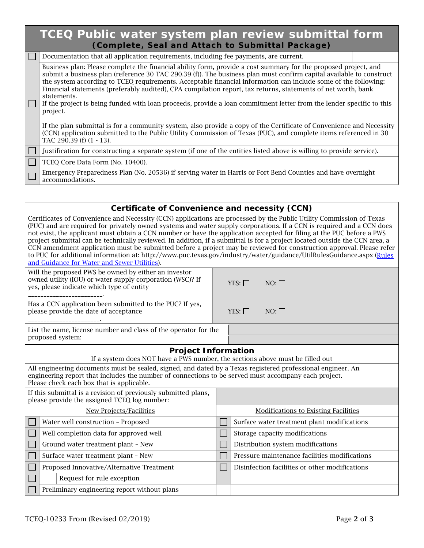| TCEQ Public water system plan review submittal form<br>(Complete, Seal and Attach to Submittal Package) |                                                                                                                                                                                                                                                                                                                                                                                                                                                                                                                                                                                                                              |  |  |  |  |
|---------------------------------------------------------------------------------------------------------|------------------------------------------------------------------------------------------------------------------------------------------------------------------------------------------------------------------------------------------------------------------------------------------------------------------------------------------------------------------------------------------------------------------------------------------------------------------------------------------------------------------------------------------------------------------------------------------------------------------------------|--|--|--|--|
|                                                                                                         | Documentation that all application requirements, including fee payments, are current.                                                                                                                                                                                                                                                                                                                                                                                                                                                                                                                                        |  |  |  |  |
| $\Box$                                                                                                  | Business plan: Please complete the financial ability form, provide a cost summary for the proposed project, and<br>submit a business plan (reference 30 TAC 290.39 (f)). The business plan must confirm capital available to construct<br>the system according to TCEQ requirements. Acceptable financial information can include some of the following:<br>Financial statements (preferably audited), CPA compilation report, tax returns, statements of net worth, bank<br>statements.<br>If the project is being funded with loan proceeds, provide a loan commitment letter from the lender specific to this<br>project. |  |  |  |  |
|                                                                                                         | If the plan submittal is for a community system, also provide a copy of the Certificate of Convenience and Necessity<br>(CCN) application submitted to the Public Utility Commission of Texas (PUC), and complete items referenced in 30<br>TAC 290.39 (f) (1 - 13).                                                                                                                                                                                                                                                                                                                                                         |  |  |  |  |
| $\mathbf{L}$                                                                                            | Justification for constructing a separate system (if one of the entities listed above is willing to provide service).                                                                                                                                                                                                                                                                                                                                                                                                                                                                                                        |  |  |  |  |
|                                                                                                         | TCEO Core Data Form (No. 10400).                                                                                                                                                                                                                                                                                                                                                                                                                                                                                                                                                                                             |  |  |  |  |
|                                                                                                         | Emergency Preparedness Plan (No. 20536) if serving water in Harris or Fort Bend Counties and have overnight<br>accommodations.                                                                                                                                                                                                                                                                                                                                                                                                                                                                                               |  |  |  |  |

| Certificate of Convenience and necessity (CCN)                                                                                                                                                                                                                                                                                                                                                                                                                                                                                                                                                                                                                                                                                                                                                        |                                             |                                             |                                                |  |  |
|-------------------------------------------------------------------------------------------------------------------------------------------------------------------------------------------------------------------------------------------------------------------------------------------------------------------------------------------------------------------------------------------------------------------------------------------------------------------------------------------------------------------------------------------------------------------------------------------------------------------------------------------------------------------------------------------------------------------------------------------------------------------------------------------------------|---------------------------------------------|---------------------------------------------|------------------------------------------------|--|--|
| Certificates of Convenience and Necessity (CCN) applications are processed by the Public Utility Commission of Texas<br>(PUC) and are required for privately owned systems and water supply corporations. If a CCN is required and a CCN does<br>not exist, the applicant must obtain a CCN number or have the application accepted for filing at the PUC before a PWS<br>project submittal can be technically reviewed. In addition, if a submittal is for a project located outside the CCN area, a<br>CCN amendment application must be submitted before a project may be reviewed for construction approval. Please refer<br>to PUC for additional information at: http://www.puc.texas.gov/industry/water/guidance/UtilRulesGuidance.aspx (Rules<br>and Guidance for Water and Sewer Utilities). |                                             |                                             |                                                |  |  |
| Will the proposed PWS be owned by either an investor<br>owned utility (IOU) or water supply corporation (WSC)? If<br>yes, please indicate which type of entity                                                                                                                                                                                                                                                                                                                                                                                                                                                                                                                                                                                                                                        |                                             | $YES: \Box$                                 | $NO: \Box$                                     |  |  |
| Has a CCN application been submitted to the PUC? If yes,<br>please provide the date of acceptance                                                                                                                                                                                                                                                                                                                                                                                                                                                                                                                                                                                                                                                                                                     |                                             | $YES: \Box$                                 | $NO: \Box$                                     |  |  |
| List the name, license number and class of the operator for the<br>proposed system:                                                                                                                                                                                                                                                                                                                                                                                                                                                                                                                                                                                                                                                                                                                   |                                             |                                             |                                                |  |  |
| <b>Project Information</b>                                                                                                                                                                                                                                                                                                                                                                                                                                                                                                                                                                                                                                                                                                                                                                            |                                             |                                             |                                                |  |  |
| If a system does NOT have a PWS number, the sections above must be filled out                                                                                                                                                                                                                                                                                                                                                                                                                                                                                                                                                                                                                                                                                                                         |                                             |                                             |                                                |  |  |
| All engineering documents must be sealed, signed, and dated by a Texas registered professional engineer. An<br>engineering report that includes the number of connections to be served must accompany each project.<br>Please check each box that is applicable.                                                                                                                                                                                                                                                                                                                                                                                                                                                                                                                                      |                                             |                                             |                                                |  |  |
| If this submittal is a revision of previously submitted plans,<br>please provide the assigned TCEQ log number:                                                                                                                                                                                                                                                                                                                                                                                                                                                                                                                                                                                                                                                                                        |                                             |                                             |                                                |  |  |
| New Projects/Facilities                                                                                                                                                                                                                                                                                                                                                                                                                                                                                                                                                                                                                                                                                                                                                                               | <b>Modifications to Existing Facilities</b> |                                             |                                                |  |  |
| Water well construction - Proposed                                                                                                                                                                                                                                                                                                                                                                                                                                                                                                                                                                                                                                                                                                                                                                    |                                             | Surface water treatment plant modifications |                                                |  |  |
| Well completion data for approved well                                                                                                                                                                                                                                                                                                                                                                                                                                                                                                                                                                                                                                                                                                                                                                |                                             |                                             | Storage capacity modifications                 |  |  |
| Ground water treatment plant - New                                                                                                                                                                                                                                                                                                                                                                                                                                                                                                                                                                                                                                                                                                                                                                    |                                             | Distribution system modifications           |                                                |  |  |
| Surface water treatment plant - New                                                                                                                                                                                                                                                                                                                                                                                                                                                                                                                                                                                                                                                                                                                                                                   |                                             |                                             | Pressure maintenance facilities modifications  |  |  |
| Proposed Innovative/Alternative Treatment                                                                                                                                                                                                                                                                                                                                                                                                                                                                                                                                                                                                                                                                                                                                                             |                                             |                                             | Disinfection facilities or other modifications |  |  |
| Request for rule exception                                                                                                                                                                                                                                                                                                                                                                                                                                                                                                                                                                                                                                                                                                                                                                            |                                             |                                             |                                                |  |  |
| Preliminary engineering report without plans                                                                                                                                                                                                                                                                                                                                                                                                                                                                                                                                                                                                                                                                                                                                                          |                                             |                                             |                                                |  |  |